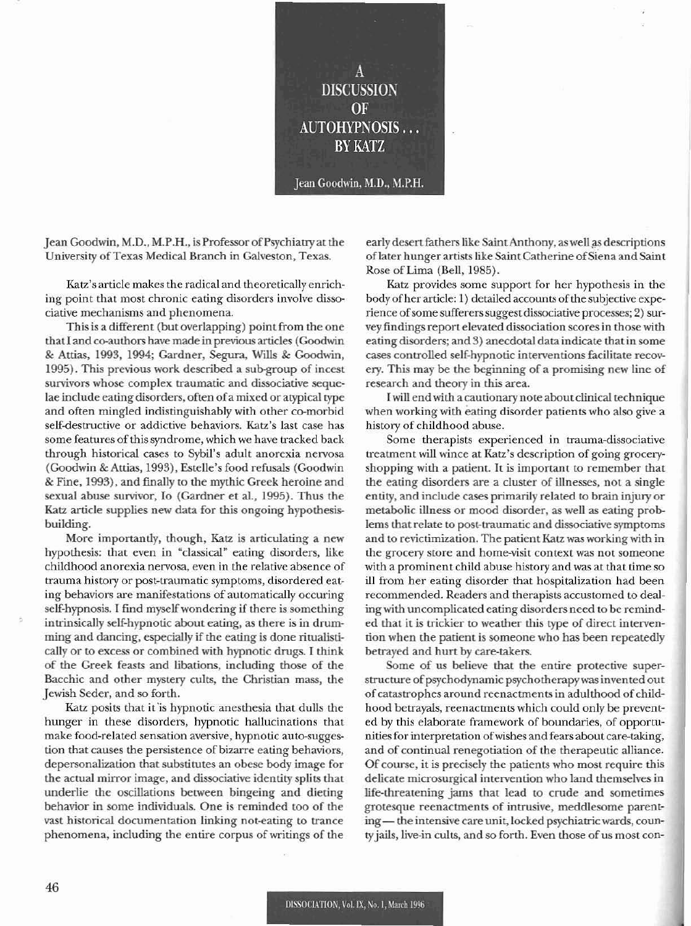A **DISCUSSION** OF AUTOHYPNOSIS ... BY KATZ

Jean Goodwin, M.D.. M.P.H.

Jean Goodwin, M.D., M.P.H., is Professor of Psychiatry at the University of Texas Medical Branch in Galveston, Texas.

Katz's article makes the radical and theoretically enriching point that most chronic eating disorders involve dissociative mechanisms and phenomena.

This is a different (but overlapping) point from the one that I and co-authors have made in previous articles (Goodwin & Attias. 1993, 1994; Gardner, Segura, Wills & Goodwin, 1995). This previous work described a sub-group of incest survivors whose complex traumatic and dissociative sequelae include eating disorders, often ofa mixed or atypical type and often mingled indistinguishably with other co-morbid self-destructive or addictive behaviors. Katz's last case has some features of this syndrome, which we have tracked back through historical cases to Sybil's adult anorexia nervosa (Goodwin & Attias, 1993), Estelle's food refusals (Goodwin & Fme, 1993), and finally to the mythic Greek heroine and sexual abuse survivor, Io (Gardner et al., 1995). Thus the Katz article supplies new data for this ongoing hypothesisbuilding.

More importantly, though, Katz is articulating a new hypothesis: that even in "classical" eating disorders, like childhood anorexia nervosa, even in the relative absence of trauma history or post-traumatic symptoms, disordered eating behaviors arc manifestations of automatically occuring self-hypnosis. I find myselfwondering if there is something intrinsically self-hypnotic about eating. as there is in drumming and dancing. especially if the eating is done ritualistically or to excess or combined with hypnotic drugs. I think of the Creek feasts and libations. including those of the Bacchic and other mystery cults, the Christian mass, the Jewish Seder, and so forth.

Katz posits that it 'is hypnotic anesthesia that dulls the hunger in these disorders, hypnotic hallucinations that make food-related sensation aversive, hypnotic auto-suggcs- tion that causes the persistence of bizarre eating behaviors, depersonalization that substitutes an obese body image for the actual mirror image, and dissociative identity splits that underlie the oscillations between bingeing and dieting behavior in some individuals. One is reminded too of the vast historical documentation linking not-eating to trance phenomena, including the entire corpus of writings of the

early desert fathers like Saint Anthony, as well as descriptions of later hunger artists like Saint Catherine of Siena and Saint Rose of Lima (Bell, 1985).

Katz provides some support for her hypothesis in the body of her article: 1) detailed accounts of the subjective experience of some sufferers suggest dissociative processes; 2) survey findings report elevated dissociation scores in those with eating disorders; and 3) anecdotal data indicate that in some cases controlled self-hypnotic interventions facilitate recovery. This may be the beginning of a promising new line of research and theory in this area.

Iwill end with a cautionary note about clinical technique when working with eating disorder patients who also give a history of childhood abuse.

Some therapists experienced in trauma-dissociative treatment will wince at Katz's description of going groceryshopping with a patient. It is important to remember that the eating disorders are a duster of illnesses. not a single entity. and include cases primarily related to brain injury or metabolic illness or mood disorder, as well as eating problems that relate to post-traumatic and dissociative symptoms and to revictimization. The patient Katz was working with in the grocery store and home-visit context was not someone with a prominent child abuse history and was at that lime so ill from her eating disorder that hospitalization had been recommended. Readers and therapists accustomed to dealing with uncomplicated eating disorders need to be reminded that it is trickier to weather this type of direct intervention when the patient is someone who has been repeatedly betrayed and hurt by care-takers.

Some of us believe that the entire protective superstructure of psychodynamic psychotherapywas invented out of catastrophes around reenactments in adulthood of childhood betrayals, reenactments which could only be prevent· ed by this elaborate framework of boundaries, of opportunities for interpretation ofwishes and fears about care-taking, and of continual renegotiation of the therapeutic alliance. Of course, it is precisely the patients who most require this delicate microsurgical intervention who land themselves in life-threatening jams that lead to crude and sometimes grotesque reenactments of intrusive, meddlesome parenting - the intensive care unit, locked psychiatric wards, county jails. live-in cults, and so forth. Even those of us most con-